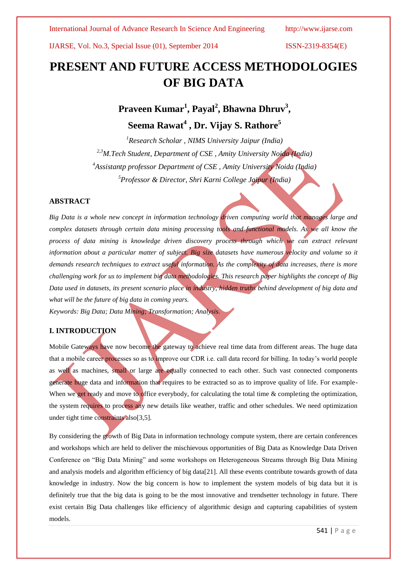# **PRESENT AND FUTURE ACCESS METHODOLOGIES OF BIG DATA**

**Praveen Kumar<sup>1</sup> , Payal<sup>2</sup> , Bhawna Dhruv<sup>3</sup> , Seema Rawat<sup>4</sup> , Dr. Vijay S. Rathore<sup>5</sup>**

*Research Scholar , NIMS University Jaipur (India) 2,3M.Tech Student, Department of CSE , Amity University Noida (India) Assistantp professor Department of CSE , Amity University Noida (India) Professor & Director, Shri Karni College Jaipur (India)*

## **ABSTRACT**

*Big Data is a whole new concept in information technology driven computing world that manages large and complex datasets through certain data mining processing tools and functional models. As we all know the process of data mining is knowledge driven discovery process through which we can extract relevant information about a particular matter of subject. Big size datasets have numerous velocity and volume so it demands research techniques to extract useful information. As the complexity of data increases, there is more challenging work for us to implement big data methodologies. This research paper highlights the concept of Big Data used in datasets, its present scenario place in industry, hidden truths behind development of big data and what will be the future of big data in coming years.*

*Keywords: Big Data; Data Mining; Transformation; Analysis.*

## **I. INTRODUCTION**

Mobile Gateways have now become the gateway to achieve real time data from different areas. The huge data that a mobile career processes so as to improve our CDR i.e. call data record for billing. In today's world people as well as machines, small or large are equally connected to each other. Such vast connected components generate huge data and information that requires to be extracted so as to improve quality of life. For example-When we get ready and move to office everybody, for calculating the total time & completing the optimization, the system requires to process any new details like weather, traffic and other schedules. We need optimization under tight time constraints also[3,5].

By considering the growth of Big Data in information technology compute system, there are certain conferences and workshops which are held to deliver the mischievous opportunities of Big Data as Knowledge Data Driven Conference on "Big Data Mining" and some workshops on Heterogeneous Streams through Big Data Mining and analysis models and algorithm efficiency of big data[21]. All these events contribute towards growth of data knowledge in industry. Now the big concern is how to implement the system models of big data but it is definitely true that the big data is going to be the most innovative and trendsetter technology in future. There exist certain Big Data challenges like efficiency of algorithmic design and capturing capabilities of system models.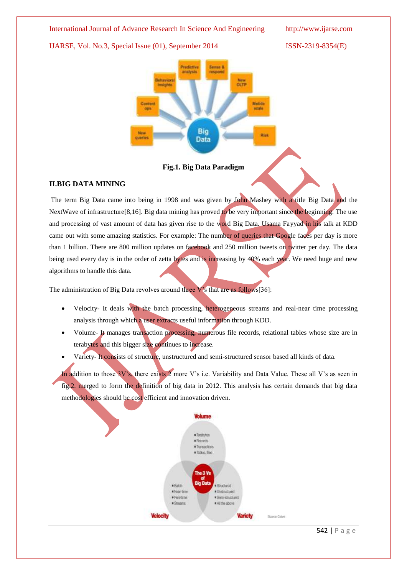Nm<sub>e</sub> Mobile Contem seale ops **Big Bid** querie Data

**Fig.1. Big Data Paradigm**

## **II.BIG DATA MINING**

The term Big Data came into being in 1998 and was given by John Mashey with a title Big Data and the NextWave of infrastructure[8,16]. Big data mining has proved to be very important since the beginning. The use and processing of vast amount of data has given rise to the word Big Data. Usama Fayyad in his talk at KDD came out with some amazing statistics. For example: The number of queries that Google faces per day is more than 1 billion. There are 800 million updates on facebook and 250 million tweets on twitter per day. The data being used every day is in the order of zetta bytes and is increasing by 40% each year. We need huge and new algorithms to handle this data.

The administration of Big Data revolves around three V's that are as follows[36]:

- Velocity- It deals with the batch processing, heterogeneous streams and real-near time processing analysis through which a user extracts useful information through KDD.
- Volume- It manages transaction processing, numerous file records, relational tables whose size are in terabytes and this bigger size continues to increase.
- Variety- It consists of structure, unstructured and semi-structured sensor based all kinds of data.

In addition to those 3V's, there exists 2 more V's i.e. Variability and Data Value. These all V's as seen in fig.2. merged to form the definition of big data in 2012. This analysis has certain demands that big data methodologies should be cost efficient and innovation driven.

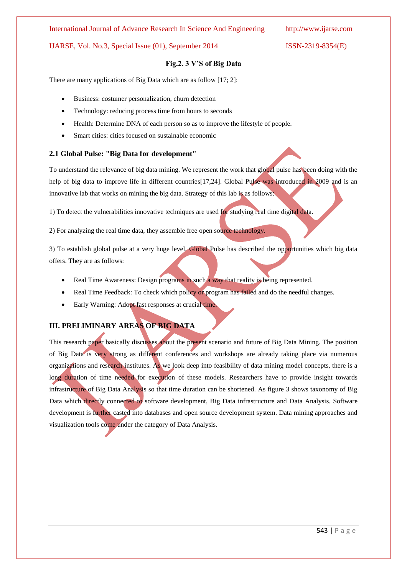## International Journal of Advance Research In Science And Engineering http://www.ijarse.com

## IJARSE, Vol. No.3, Special Issue (01), September 2014 ISSN-2319-8354(E)

## **Fig.2. 3 V'S of Big Data**

There are many applications of Big Data which are as follow [17; 2]:

- Business: costumer personalization, churn detection
- Technology: reducing process time from hours to seconds
- Health: Determine DNA of each person so as to improve the lifestyle of people.
- Smart cities: cities focused on sustainable economic

## **2.1 Global Pulse: "Big Data for development"**

To understand the relevance of big data mining. We represent the work that global pulse has been doing with the help of big data to improve life in different countries[17,24]. Global Pulse was introduced in 2009 and is an innovative lab that works on mining the big data. Strategy of this lab is as follows:

1) To detect the vulnerabilities innovative techniques are used for studying real time digital data.

2) For analyzing the real time data, they assemble free open source technology.

3) To establish global pulse at a very huge level. Global Pulse has described the opportunities which big data offers. They are as follows:

- Real Time Awareness: Design programs in such a way that reality is being represented.
- Real Time Feedback: To check which policy or program has failed and do the needful changes.
- Early Warning: Adopt fast responses at crucial time.

## **III. PRELIMINARY AREAS OF BIG DATA**

This research paper basically discusses about the present scenario and future of Big Data Mining. The position of Big Data is very strong as different conferences and workshops are already taking place via numerous organizations and research institutes. As we look deep into feasibility of data mining model concepts, there is a long duration of time needed for execution of these models. Researchers have to provide insight towards infrastructure of Big Data Analysis so that time duration can be shortened. As figure 3 shows taxonomy of Big Data which directly connected to software development, Big Data infrastructure and Data Analysis. Software development is further casted into databases and open source development system. Data mining approaches and visualization tools come under the category of Data Analysis.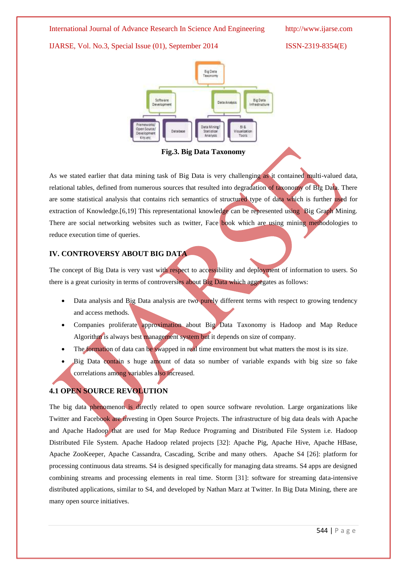

**Fig.3. Big Data Taxonomy**

As we stated earlier that data mining task of Big Data is very challenging as it contained multi-valued data, relational tables, defined from numerous sources that resulted into degradation of taxonomy of Big Data. There are some statistical analysis that contains rich semantics of structured type of data which is further used for extraction of Knowledge.[6,19] This representational knowledge can be represented using Big Graph Mining. There are social networking websites such as twitter, Face book which are using mining methodologies to reduce execution time of queries.

## **IV. CONTROVERSY ABOUT BIG DATA**

The concept of Big Data is very vast with respect to accessibility and deployment of information to users. So there is a great curiosity in terms of controversies about Big Data which aggregates as follows:

- Data analysis and Big Data analysis are two purely different terms with respect to growing tendency and access methods.
- Companies proliferate approximation about Big Data Taxonomy is Hadoop and Map Reduce Algorithm is always best management system but it depends on size of company.
- The formation of data can be swapped in real time environment but what matters the most is its size.
- Big Data contain s huge amount of data so number of variable expands with big size so fake correlations among variables also increased.

## **4.1 OPEN SOURCE REVOLUTION**

The big data phenomenon is directly related to open source software revolution. Large organizations like Twitter and Facebook are investing in Open Source Projects. The infrastructure of big data deals with Apache and Apache Hadoop that are used for Map Reduce Programing and Distributed File System i.e. Hadoop Distributed File System. Apache Hadoop related projects [32]: Apache Pig, Apache Hive, Apache HBase, Apache ZooKeeper, Apache Cassandra, Cascading, Scribe and many others. Apache S4 [26]: platform for processing continuous data streams. S4 is designed specifically for managing data streams. S4 apps are designed combining streams and processing elements in real time. Storm [31]: software for streaming data-intensive distributed applications, similar to S4, and developed by Nathan Marz at Twitter. In Big Data Mining, there are many open source initiatives.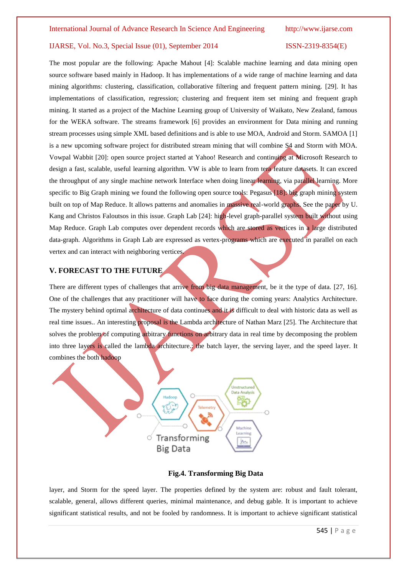The most popular are the following: Apache Mahout [4]: Scalable machine learning and data mining open source software based mainly in Hadoop. It has implementations of a wide range of machine learning and data mining algorithms: clustering, classification, collaborative filtering and frequent pattern mining. [29]. It has implementations of classification, regression; clustering and frequent item set mining and frequent graph mining. It started as a project of the Machine Learning group of University of Waikato, New Zealand, famous for the WEKA software. The streams framework [6] provides an environment for Data mining and running stream processes using simple XML based definitions and is able to use MOA, Android and Storm. SAMOA [1] is a new upcoming software project for distributed stream mining that will combine S4 and Storm with MOA. Vowpal Wabbit [20]: open source project started at Yahoo! Research and continuing at Microsoft Research to design a fast, scalable, useful learning algorithm. VW is able to learn from tera feature datasets. It can exceed the throughput of any single machine network Interface when doing linear learning, via parallel learning. More specific to Big Graph mining we found the following open source tools: Pegasus [18]: big graph mining system built on top of Map Reduce. It allows patterns and anomalies in massive real-world graphs. See the paper by U. Kang and Christos Faloutsos in this issue. Graph Lab [24]: high-level graph-parallel system built without using Map Reduce. Graph Lab computes over dependent records which are stored as vertices in a large distributed data-graph. Algorithms in Graph Lab are expressed as vertex-programs which are executed in parallel on each vertex and can interact with neighboring vertices.

## **V. FORECAST TO THE FUTURE**

There are different types of challenges that arrive from big data management, be it the type of data. [27, 16]. One of the challenges that any practitioner will have to face during the coming years: Analytics Architecture. The mystery behind optimal architecture of data continues and it is difficult to deal with historic data as well as real time issues.. An interesting proposal is the Lambda architecture of Nathan Marz [25]. The Architecture that solves the problem of computing arbitrary functions on arbitrary data in real time by decomposing the problem into three layers is called the lambda architecture... the batch layer, the serving layer, and the speed layer. It combines the both hadoop



## **Fig.4. Transforming Big Data**

layer, and Storm for the speed layer. The properties defined by the system are: robust and fault tolerant, scalable, general, allows different queries, minimal maintenance, and debug gable. It is important to achieve significant statistical results, and not be fooled by randomness. It is important to achieve significant statistical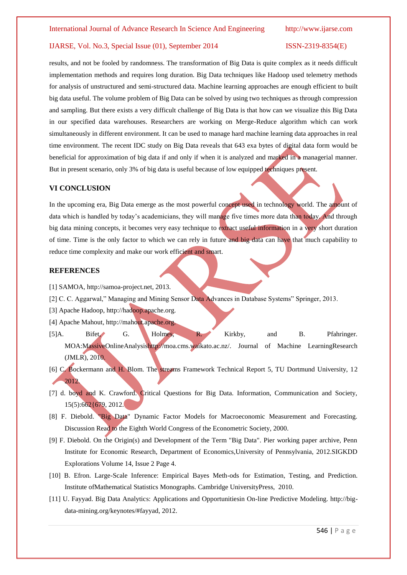results, and not be fooled by randomness. The transformation of Big Data is quite complex as it needs difficult implementation methods and requires long duration. Big Data techniques like Hadoop used telemetry methods for analysis of unstructured and semi-structured data. Machine learning approaches are enough efficient to built big data useful. The volume problem of Big Data can be solved by using two techniques as through compression and sampling. But there exists a very difficult challenge of Big Data is that how can we visualize this Big Data in our specified data warehouses. Researchers are working on Merge-Reduce algorithm which can work simultaneously in different environment. It can be used to manage hard machine learning data approaches in real time environment. The recent IDC study on Big Data reveals that 643 exa bytes of digital data form would be beneficial for approximation of big data if and only if when it is analyzed and marked in a managerial manner. But in present scenario, only 3% of big data is useful because of low equipped techniques present.

### **VI CONCLUSION**

In the upcoming era, Big Data emerge as the most powerful concept used in technology world. The amount of data which is handled by today's academicians, they will manage five times more data than today. And through big data mining concepts, it becomes very easy technique to extract useful information in a very short duration of time. Time is the only factor to which we can rely in future and big data can have that much capability to reduce time complexity and make our work efficient and smart.

#### **REFERENCES**

- [1] SAMOA, http://samoa-project.net, 2013.
- [2] C. C. Aggarwal," Managing and Mining Sensor Data Advances in Database Systems" Springer, 2013.
- [3] Apache Hadoop, http://hadoop.apache.org.
- [4] Apache Mahout, http://mahout.apache.org.
- [5]A. Bifet, G. Holmes, R. Kirkby, and B. Pfahringer. MOA:MassiveOnlineAnalysishttp://moa.cms.waikato.ac.nz/. Journal of Machine LearningResearch (JMLR), 2010.
- [6] C. Bockermann and H. Blom. The streams Framework Technical Report 5, TU Dortmund University, 12 2012.
- [7] d. boyd and K. Crawford. Critical Questions for Big Data. Information, Communication and Society, 15(5):662{679, 2012.
- [8] F. Diebold. "Big Data" Dynamic Factor Models for Macroeconomic Measurement and Forecasting. Discussion Read to the Eighth World Congress of the Econometric Society, 2000.
- [9] F. Diebold. On the Origin(s) and Development of the Term "Big Data". Pier working paper archive, Penn Institute for Economic Research, Department of Economics,University of Pennsylvania, 2012.SIGKDD Explorations Volume 14, Issue 2 Page 4.
- [10] B. Efron. Large-Scale Inference: Empirical Bayes Meth-ods for Estimation, Testing, and Prediction. Institute ofMathematical Statistics Monographs. Cambridge UniversityPress, 2010.
- [11] U. Fayyad. Big Data Analytics: Applications and Opportunitiesin On-line Predictive Modeling. http://bigdata-mining.org/keynotes/#fayyad, 2012.